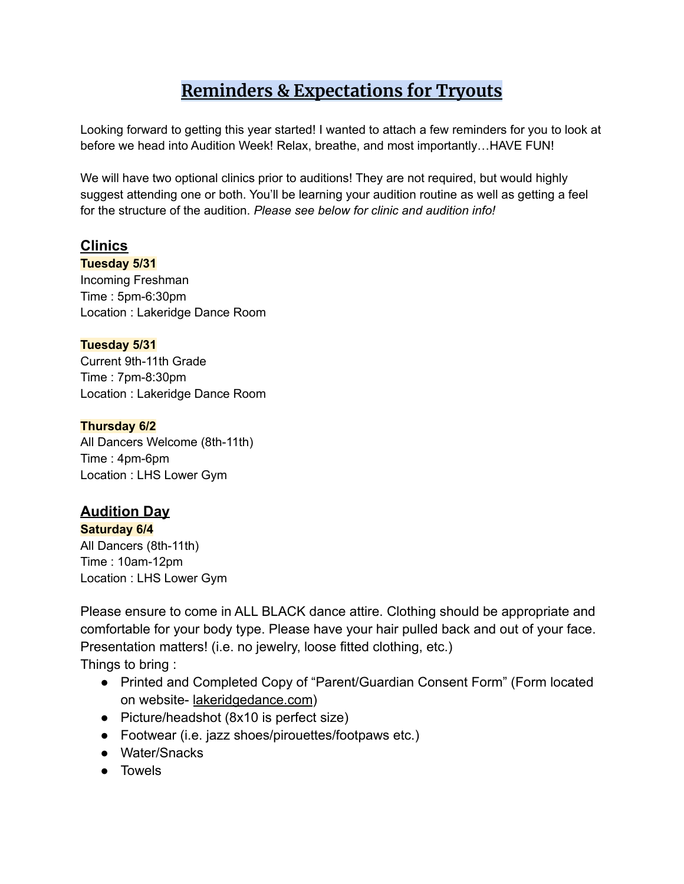# **Reminders & Expectations for Tryouts**

Looking forward to getting this year started! I wanted to attach a few reminders for you to look at before we head into Audition Week! Relax, breathe, and most importantly…HAVE FUN!

We will have two optional clinics prior to auditions! They are not required, but would highly suggest attending one or both. You'll be learning your audition routine as well as getting a feel for the structure of the audition. *Please see below for clinic and audition info!*

## **Clinics**

**Tuesday 5/31**

Incoming Freshman Time : 5pm-6:30pm Location : Lakeridge Dance Room

### **Tuesday 5/31**

Current 9th-11th Grade Time : 7pm-8:30pm Location : Lakeridge Dance Room

### **Thursday 6/2**

All Dancers Welcome (8th-11th) Time : 4pm-6pm Location : LHS Lower Gym

## **Audition Day**

### **Saturday 6/4**

All Dancers (8th-11th) Time : 10am-12pm Location : LHS Lower Gym

Please ensure to come in ALL BLACK dance attire. Clothing should be appropriate and comfortable for your body type. Please have your hair pulled back and out of your face. Presentation matters! (i.e. no jewelry, loose fitted clothing, etc.) Things to bring :

- Printed and Completed Copy of "Parent/Guardian Consent Form" (Form located on website- lakeridgedance.com)
- Picture/headshot (8x10 is perfect size)
- Footwear (i.e. jazz shoes/pirouettes/footpaws etc.)
- Water/Snacks
- Towels